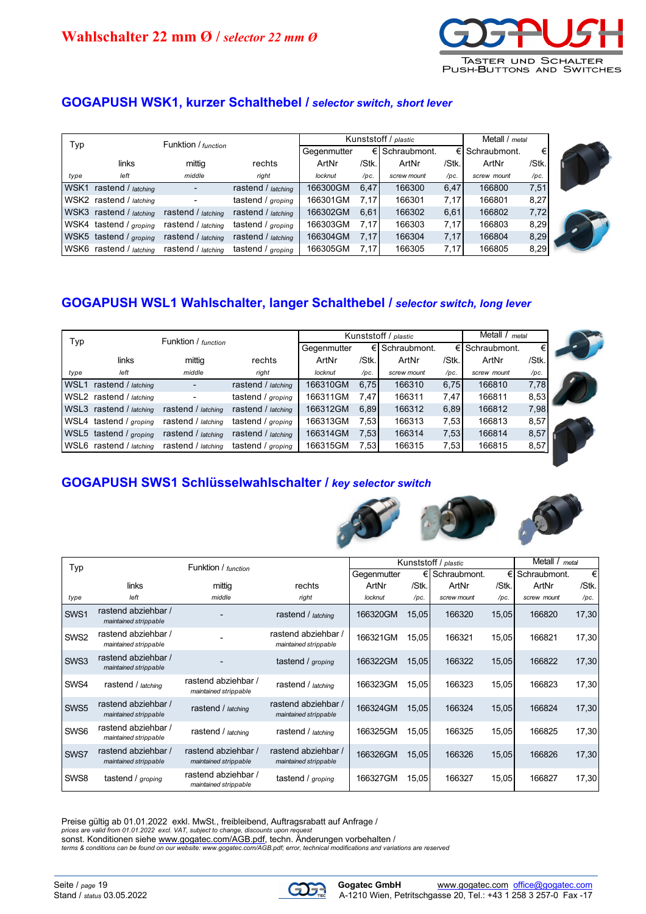

# **GOGAPUSH WSK1, kurzer Schalthebel /** *selector switch, short lever*

| Typ  |                         | Funktion / function<br>Gegenmutter |                    |          | Kunststoff / plastic |              |       |                 | Metall / metal |  |
|------|-------------------------|------------------------------------|--------------------|----------|----------------------|--------------|-------|-----------------|----------------|--|
|      |                         |                                    |                    |          | €I                   | Schraubmont. |       | €I Schraubmont. | €              |  |
|      | links                   | mittig                             | rechts             | ArtNr    | /Stk.                | ArtNr        | /Stk. | ArtNr           | /Stk.          |  |
| type | left                    | middle                             | right              | locknut  | /pc.                 | screw mount  | /pc.  | screw mount     | /pc.           |  |
| WSK1 | rastend / latching      |                                    | rastend / latching | 166300GM | 6,47                 | 166300       | 6,47  | 166800          | 7,51           |  |
|      | WSK2 rastend / latching |                                    | tastend / groping  | 166301GM | 7.17                 | 166301       | 7.17  | 166801          | 8,27           |  |
|      | WSK3 rastend / latching | rastend / latching                 | rastend / latching | 166302GM | 6,61                 | 166302       | 6,61  | 166802          | 7,72           |  |
|      | WSK4 tastend / groping  | rastend / latching                 | tastend / groping  | 166303GM | 7.17                 | 166303       | 7,17  | 166803          | 8,29           |  |
|      | WSK5 tastend / groping  | rastend / latching                 | rastend / latching | 166304GM | 7,17                 | 166304       | 7,17  | 166804          | 8,29           |  |
|      | WSK6 rastend / latching | rastend / latching                 | tastend / groping  | 166305GM | 7.17                 | 166305       | 7.17  | 166805          | 8,29           |  |

## **GOGAPUSH WSL1 Wahlschalter, langer Schalthebel /** *selector switch, long lever*

|                  | Funktion / function           |                    |                       | Kunststoff / plastic |       |              |       | Metall / metal |       |  |
|------------------|-------------------------------|--------------------|-----------------------|----------------------|-------|--------------|-------|----------------|-------|--|
| Typ              |                               |                    |                       | Gegenmutter          | €     | Schraubmont. |       | Schraubmont.   | €     |  |
|                  | links                         | mittig             | rechts                | ArtNr                | /Stk. | ArtNr        | /Stk. | ArtNr          | /Stk. |  |
| type             | left                          | middle             | right                 | locknut              | /pc.  | screw mount  | /pc.  | screw mount    | /pc.  |  |
| WSL <sub>1</sub> | rastend / latching            |                    | rastend / $l$ atching | 166310GM             | 6.75  | 166310       | 6,75  | 166810         | 7,78  |  |
| WSL2             | rastend / latching            |                    | tastend / groping     | 166311GM             | 7.47  | 166311       | 7.47  | 166811         | 8,53  |  |
| WSL3             | rastend / latching            | rastend / latching | rastend / latching    | 166312GM             | 6.89  | 166312       | 6,89  | 166812         | 7,98  |  |
| WSL4             | tastend / groping             | rastend / latching | tastend / groping     | 166313GM             | 7,53  | 166313       | 7,53  | 166813         | 8,57  |  |
|                  | WSL5 tastend / <i>aroping</i> | rastend / latching | rastend / latching    | 166314GM             | 7,53  | 166314       | 7,53  | 166814         | 8,57  |  |
|                  | WSL6 rastend / latching       | rastend / latching | tastend / groping     | 166315GM             | 7,53  | 166315       | 7,53  | 166815         | 8,57  |  |

### **GOGAPUSH SWS1 Schlüsselwahlschalter /** *key selector switch*



| Typ              |                                              | Funktion / function                          |                                              |             | Kunststoff / plastic |              |       | Metall / metal |       |  |
|------------------|----------------------------------------------|----------------------------------------------|----------------------------------------------|-------------|----------------------|--------------|-------|----------------|-------|--|
|                  |                                              |                                              |                                              | Gegenmutter | €                    | Schraubmont. |       | Schraubmont.   | €     |  |
|                  | links                                        | mittig                                       | rechts                                       | ArtNr       | /Stk.                | ArtNr        | /Stk. | ArtNr          | /Stk. |  |
| type             | left                                         | middle                                       | right                                        | locknut     | $/pc$ .              | screw mount  | /pc.  | screw mount    | /pc.  |  |
| SWS1             | rastend abziehbar /<br>maintained strippable |                                              | rastend / latching                           | 166320GM    | 15.05                | 166320       | 15.05 | 166820         | 17,30 |  |
| SW <sub>S2</sub> | rastend abziehbar /<br>maintained strippable |                                              | rastend abziehbar /<br>maintained strippable | 166321GM    | 15.05                | 166321       | 15,05 | 166821         | 17,30 |  |
| SWS3             | rastend abziehbar /<br>maintained strippable |                                              | tastend / groping                            | 166322GM    | 15,05                | 166322       | 15,05 | 166822         | 17,30 |  |
| SW <sub>S4</sub> | rastend / latching                           | rastend abziehbar /<br>maintained strippable | rastend / latching                           | 166323GM    | 15.05                | 166323       | 15.05 | 166823         | 17,30 |  |
| SWS <sub>5</sub> | rastend abziehbar /<br>maintained strippable | rastend / latching                           | rastend abziehbar /<br>maintained strippable | 166324GM    | 15.05                | 166324       | 15,05 | 166824         | 17,30 |  |
| SWS <sub>6</sub> | rastend abziehbar /<br>maintained strippable | rastend / latching                           | rastend / latching                           | 166325GM    | 15.05                | 166325       | 15.05 | 166825         | 17,30 |  |
| SWS7             | rastend abziehbar /<br>maintained strippable | rastend abziehbar /<br>maintained strippable | rastend abziehbar /<br>maintained strippable | 166326GM    | 15,05                | 166326       | 15,05 | 166826         | 17,30 |  |
| SWS8             | tastend / groping                            | rastend abziehbar /<br>maintained strippable | tastend / groping                            | 166327GM    | 15,05                | 166327       | 15,05 | 166827         | 17,30 |  |

Preise gültig ab 01.01.2022 exkl. MwSt., freibleibend, Auftragsrabatt auf Anfrage /

*prices are valid from 01.01.2022 excl. VAT, subject to change, discounts upon request* sonst. Konditionen siehe [www.gogatec.com/AGB.pdf,](www.gogatec.com/AGB.pdf) techn. Änderungen vorbehalten /

*<terms & conditions can be found on our website: www.gogatec.co>m/AGB.pdf; error, technical modifications and variations are reserved*